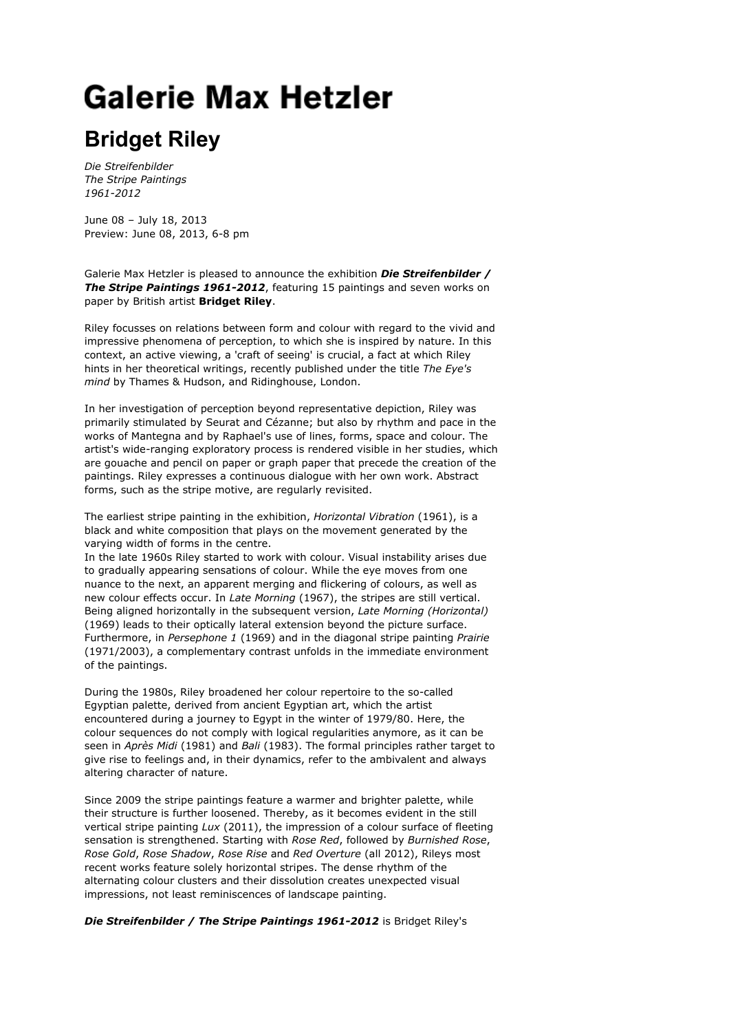## **Galerie Max Hetzler**

## **Bridget Riley**

*Die Streifenbilder The Stripe Paintings 1961-2012*

June 08 – July 18, 2013 Preview: June 08, 2013, 6-8 pm

Galerie Max Hetzler is pleased to announce the exhibition *Die Streifenbilder / The Stripe Paintings 1961-2012*, featuring 15 paintings and seven works on paper by British artist **Bridget Riley**.

Riley focusses on relations between form and colour with regard to the vivid and impressive phenomena of perception, to which she is inspired by nature. In this context, an active viewing, a 'craft of seeing' is crucial, a fact at which Riley hints in her theoretical writings, recently published under the title *The Eye's mind* by Thames & Hudson, and Ridinghouse, London.

In her investigation of perception beyond representative depiction, Riley was primarily stimulated by Seurat and Cézanne; but also by rhythm and pace in the works of Mantegna and by Raphael's use of lines, forms, space and colour. The artist's wide-ranging exploratory process is rendered visible in her studies, which are gouache and pencil on paper or graph paper that precede the creation of the paintings. Riley expresses a continuous dialogue with her own work. Abstract forms, such as the stripe motive, are regularly revisited.

The earliest stripe painting in the exhibition, *Horizontal Vibration* (1961), is a black and white composition that plays on the movement generated by the varying width of forms in the centre.

In the late 1960s Riley started to work with colour. Visual instability arises due to gradually appearing sensations of colour. While the eye moves from one nuance to the next, an apparent merging and flickering of colours, as well as new colour effects occur. In *Late Morning* (1967), the stripes are still vertical. Being aligned horizontally in the subsequent version, *Late Morning (Horizontal)* (1969) leads to their optically lateral extension beyond the picture surface. Furthermore, in *Persephone 1* (1969) and in the diagonal stripe painting *Prairie* (1971/2003), a complementary contrast unfolds in the immediate environment of the paintings.

During the 1980s, Riley broadened her colour repertoire to the so-called Egyptian palette, derived from ancient Egyptian art, which the artist encountered during a journey to Egypt in the winter of 1979/80. Here, the colour sequences do not comply with logical regularities anymore, as it can be seen in *Après Midi* (1981) and *Bali* (1983). The formal principles rather target to give rise to feelings and, in their dynamics, refer to the ambivalent and always altering character of nature.

Since 2009 the stripe paintings feature a warmer and brighter palette, while their structure is further loosened. Thereby, as it becomes evident in the still vertical stripe painting *Lux* (2011), the impression of a colour surface of fleeting sensation is strengthened. Starting with *Rose Red*, followed by *Burnished Rose*, *Rose Gold*, *Rose Shadow*, *Rose Rise* and *Red Overture* (all 2012), Rileys most recent works feature solely horizontal stripes. The dense rhythm of the alternating colour clusters and their dissolution creates unexpected visual impressions, not least reminiscences of landscape painting.

*Die Streifenbilder / The Stripe Paintings 1961-2012* is Bridget Riley's